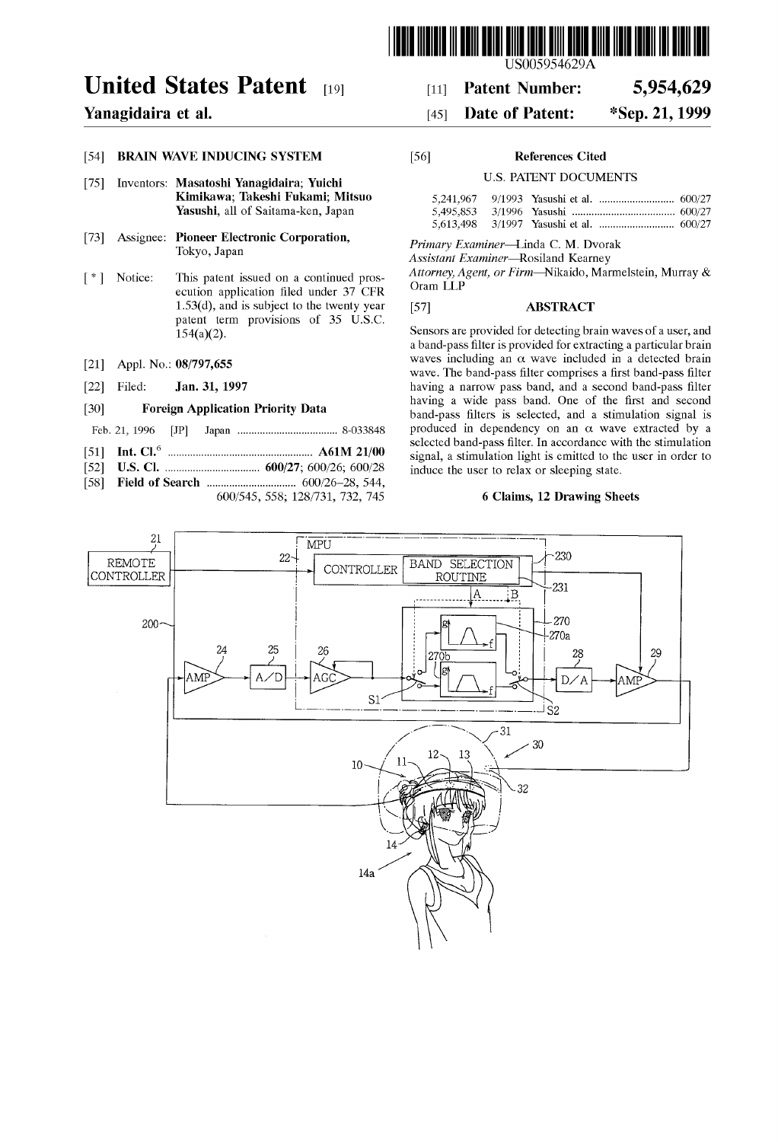

# United States Patent [19] 11 Patent Number: 5,954,629

### [54] **BRAIN WAVE INDUCING SYSTEM** [56] **References Cited**

- 75 Inventors: Masatoshi Yanagidaira; Yuichi U.S. PATENT DOCUMENTS Kimikawa; Takeshi Fukami; Mitsuo Yasushi, all of Saitama-ken, Japan
- [73] Assignee: **Pioneer Electronic Corporation**, *Primary Examiner*—Linda C. M. Dvorak Tokyo, Japan
- [\*] Notice: This patent issued on a continued pros-<br>ecution application filed under 37 CFR<br>1.53(d), and is subject to the twenty year [57] **ABSTRACT** 1.53(d), and is subject to the twenty year  $[57]$ patent term provisions of 35 U.S.C.<br>154(a)(2).
- 
- 

- 
- 
- 52 U.S. Cl. .................................. 600/27; 600/26; 600/28 induce the user to relax or sleeping State.
- 58 Field of Search ................................ 600/26–28, 544, 600/545, 558; 128/731, 732, 745 6 Claims, 12 Drawing Sheets

# Yanagidaira et al. (45) Date of Patent: \*Sep. 21, 1999

Assistant Examiner-Rosiland Kearney

Sensors are provided for detecting brain waves of a user, and a band-pass filter is provided for extracting a particular brain waves including an  $\alpha$  wave included in a detected brain [21] Appl. No.: 08/797,655 waves including an  $\alpha$  wave included in a detected brain  $\alpha$  wave. The band-pass filter comprises a first band-pass filter [22] Filed: **Jan. 31, 1997** having a narrow pass band, and a second band-pass filter having a wide pass band. One of the first and second O O having a wide pass band. One of the first and Second 30 Foreign Application Priority Data band-pass filters is Selected, and a stimulation signal is Feb. 21, 1996 JP Japan .................................... 8-033848 produced in dependency on an O. wave extracted by a [51] Int. Cl.  $\frac{6 \text{ m}}{152}$  U.S. Cl.  $\frac{1}{252}$  U.S. Cl.  $\frac{1}{252}$  U.S. Cl.  $\frac{1}{252}$  U.S. Cl.  $\frac{1}{252}$  U.S. Cl.  $\frac{1}{252}$  U.S. Cl.  $\frac{1}{252}$  U.S. Cl.  $\frac{1}{252}$  U.S. Cl.  $\frac{1}{252}$  U.S. Cl.  $\frac{1}{252}$  U

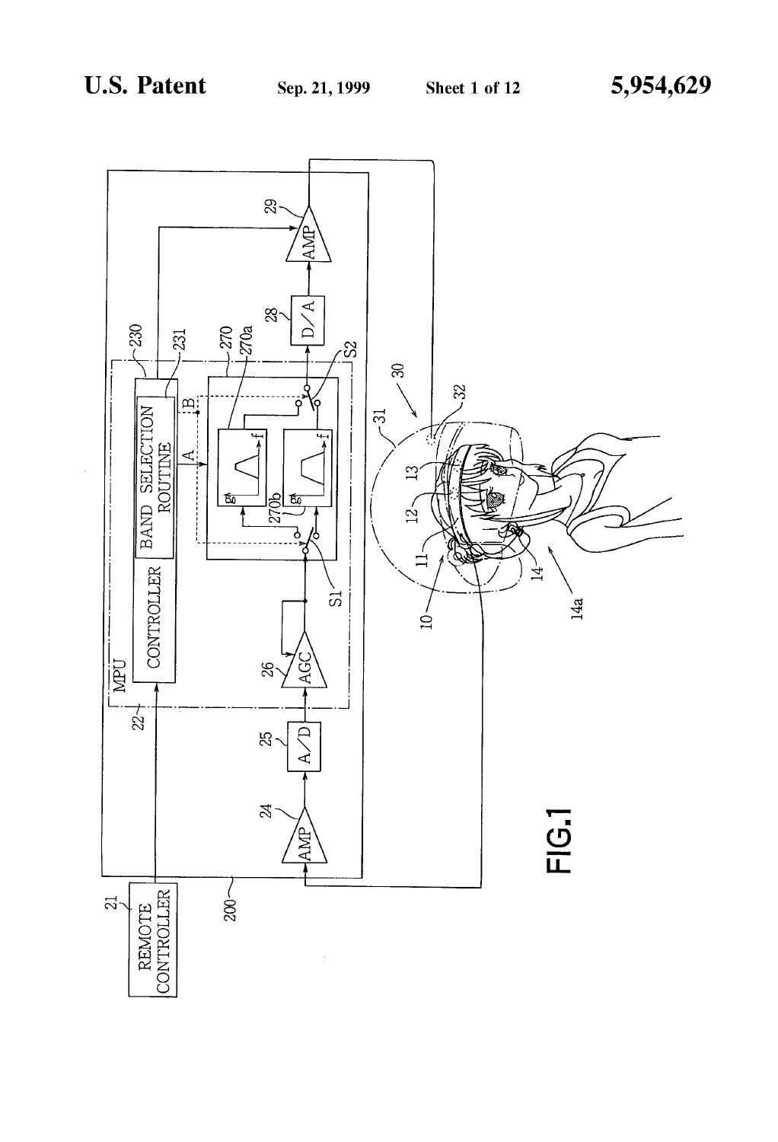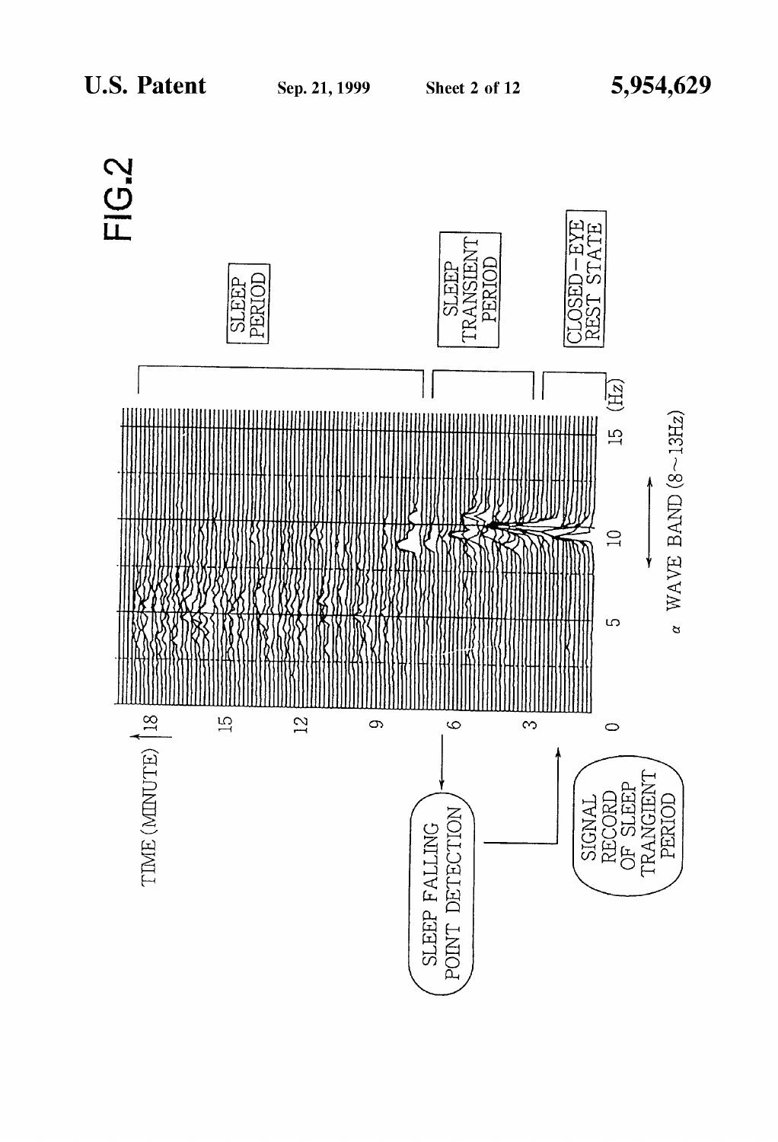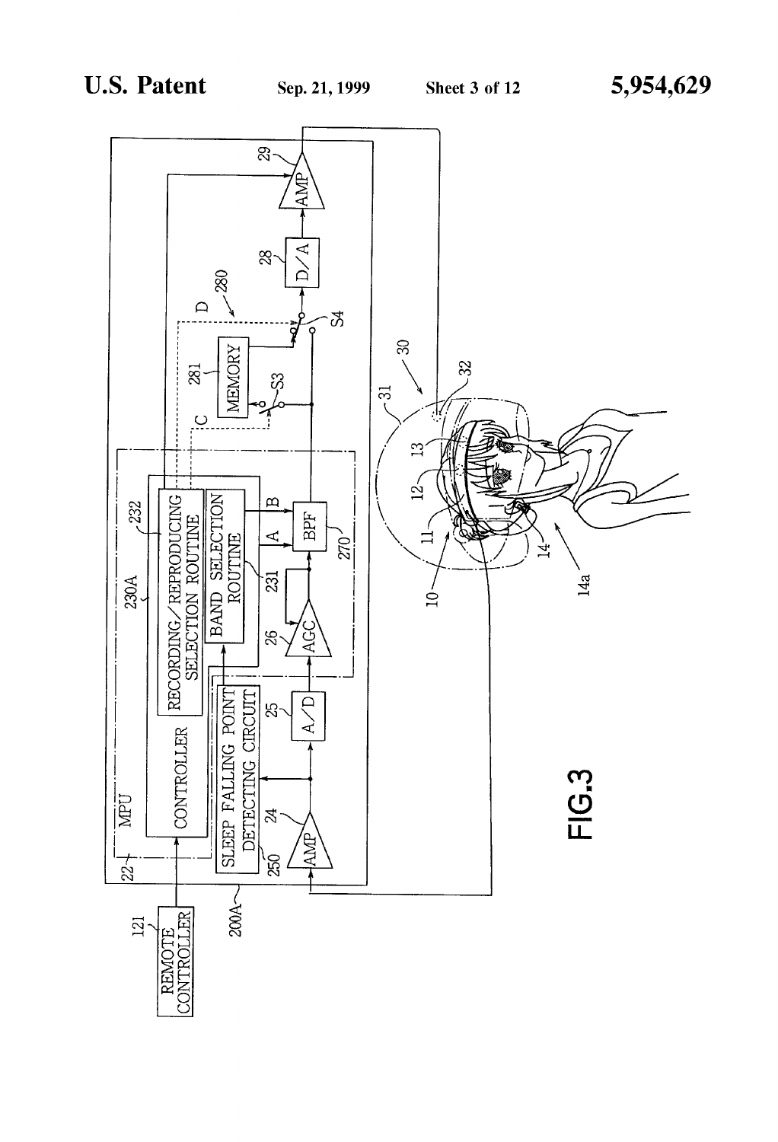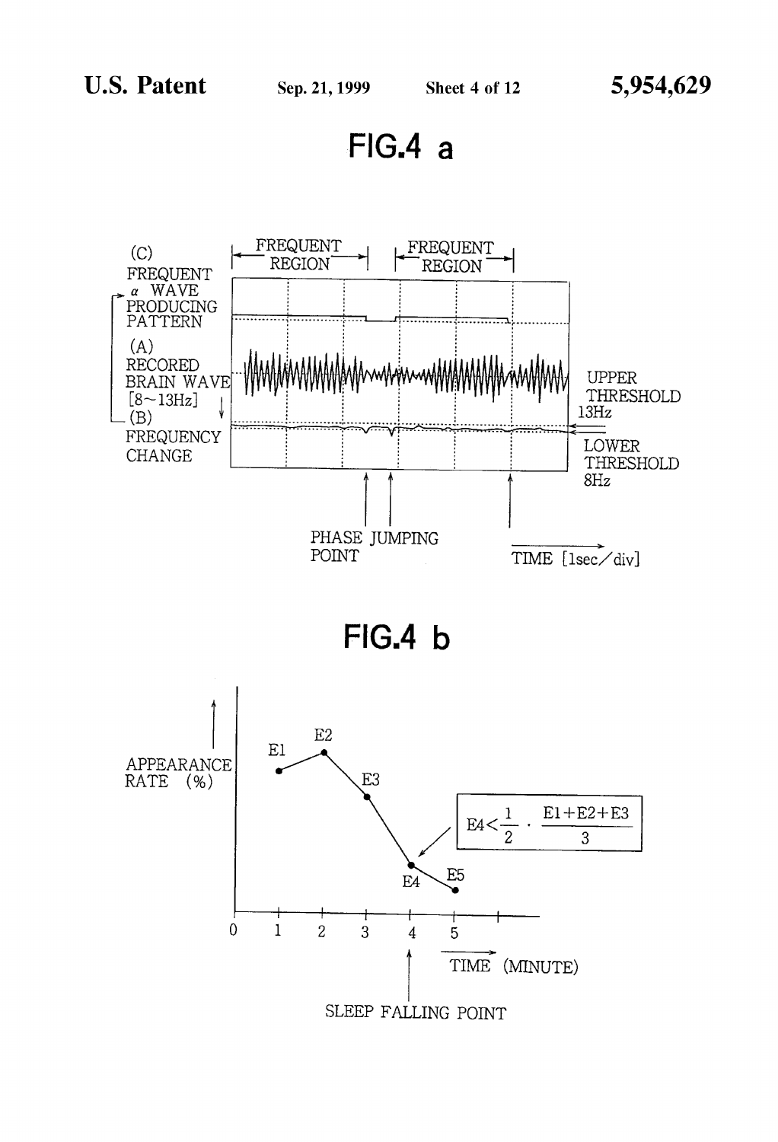

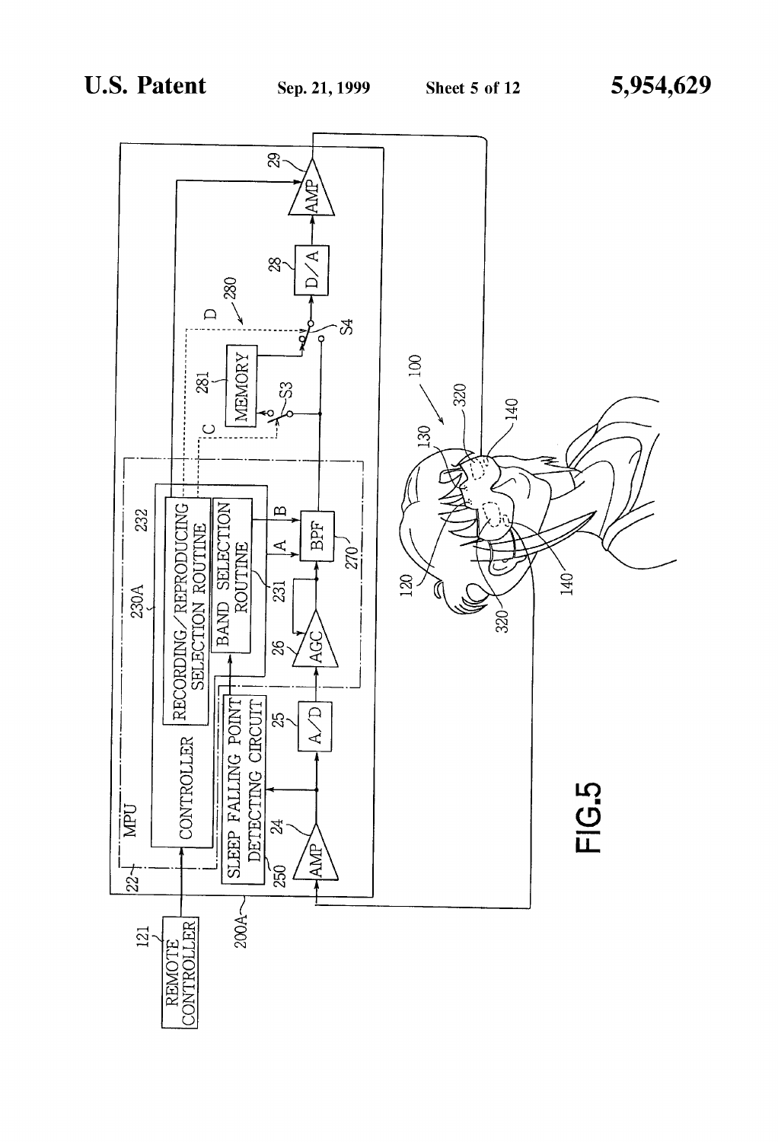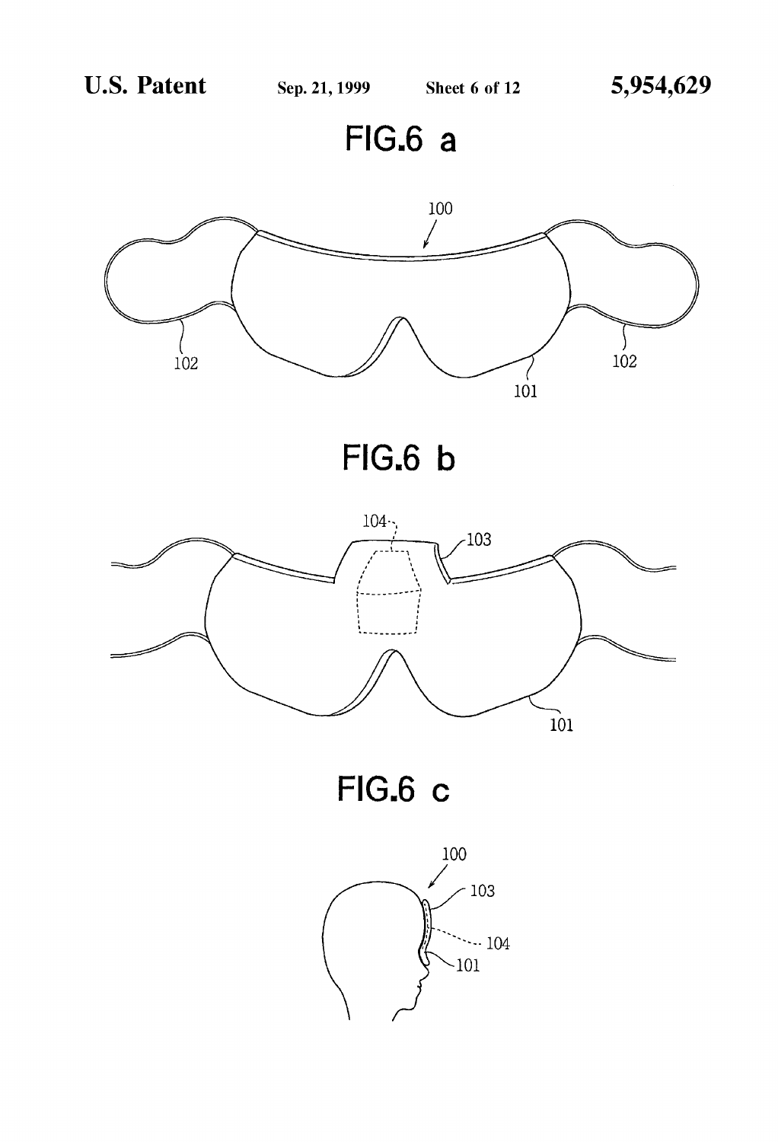FIG.6 a



 $-101$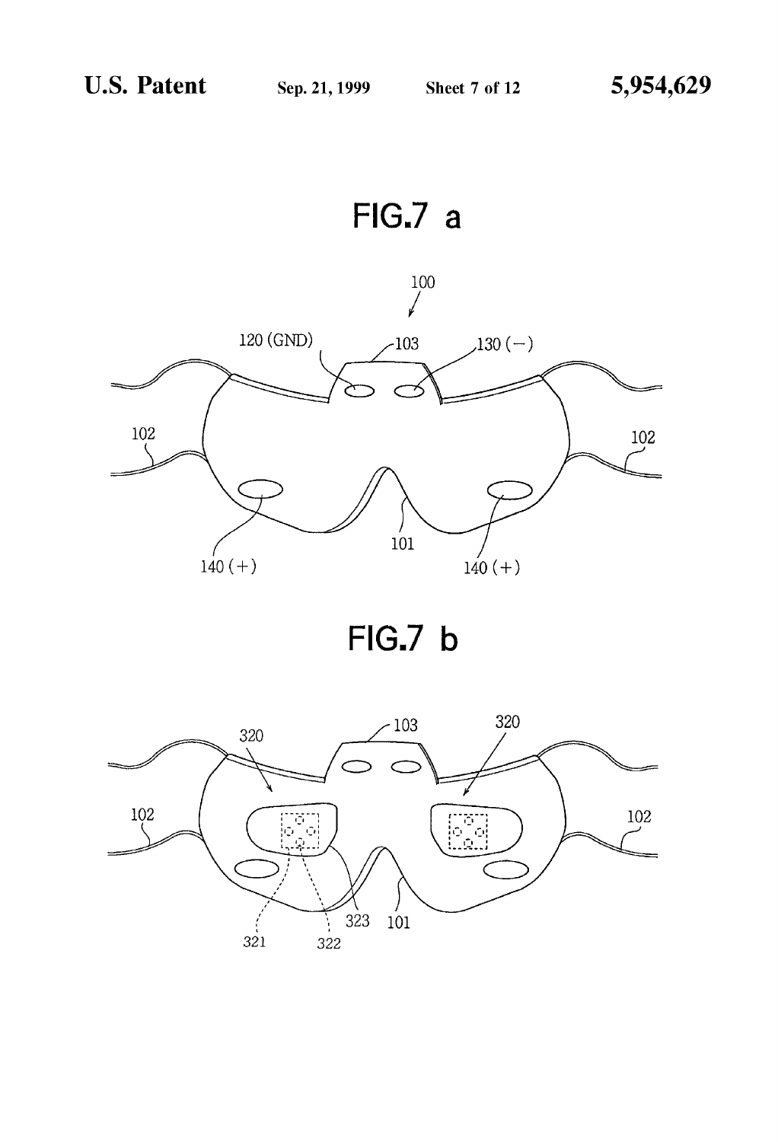



FIG.7 b

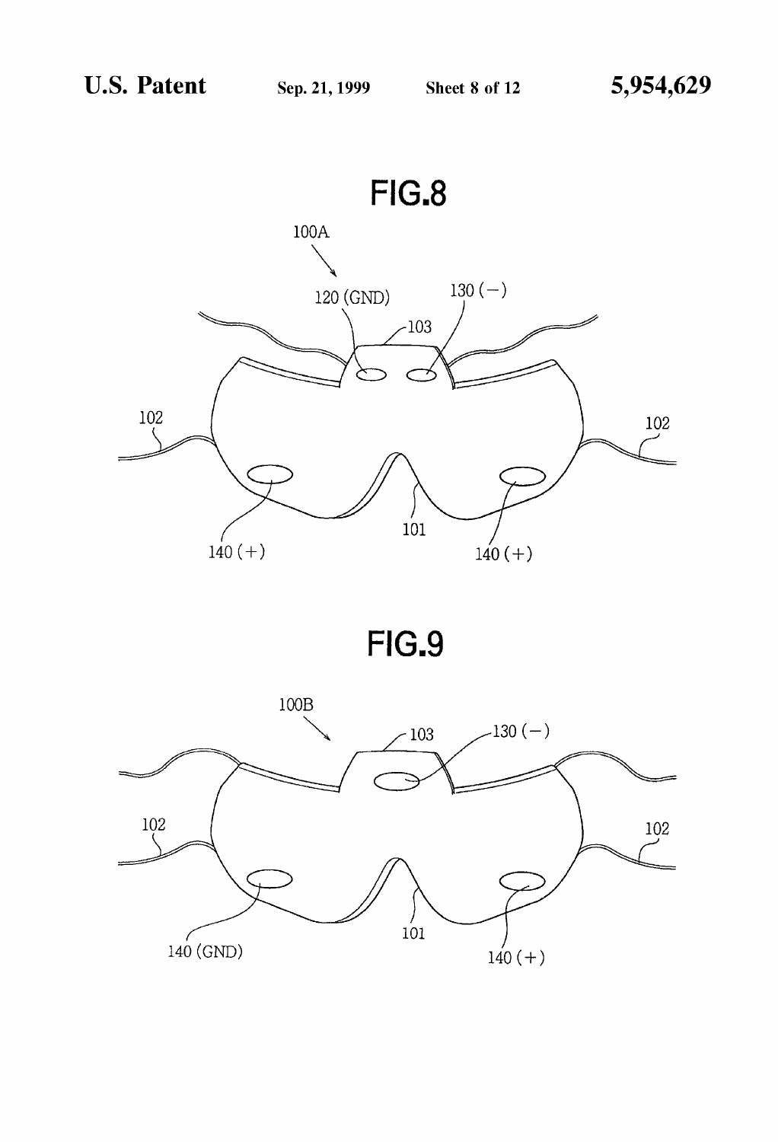

FIG.9

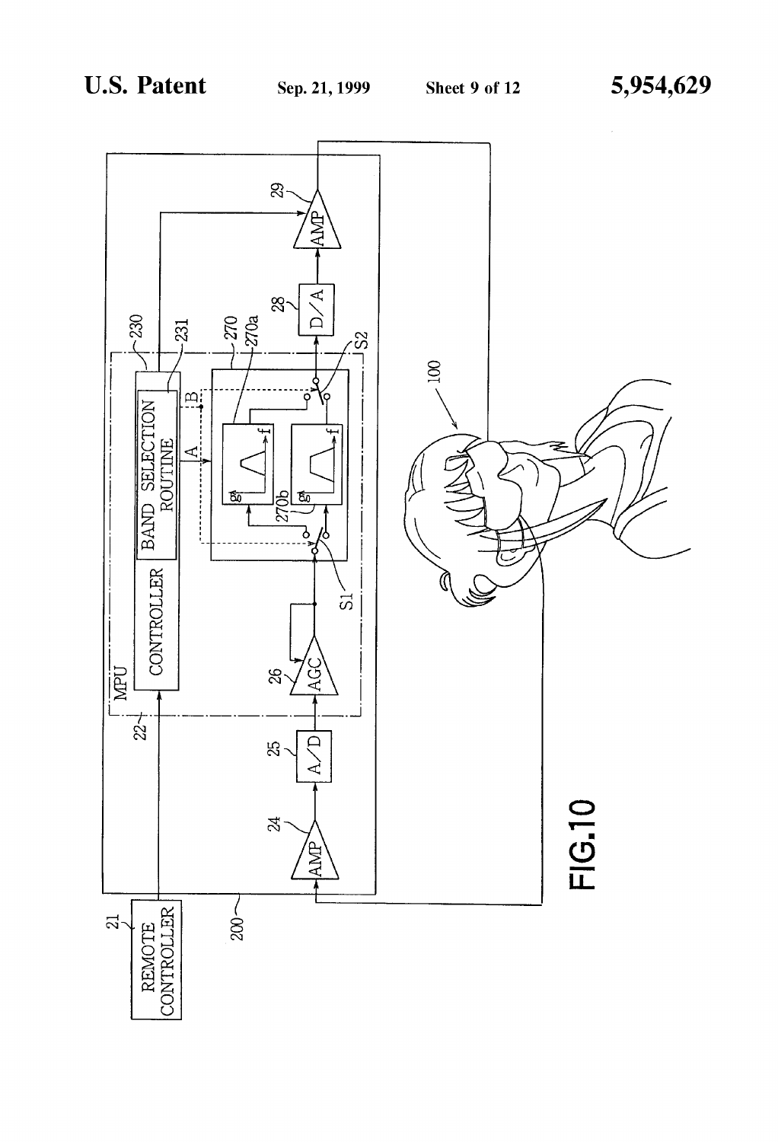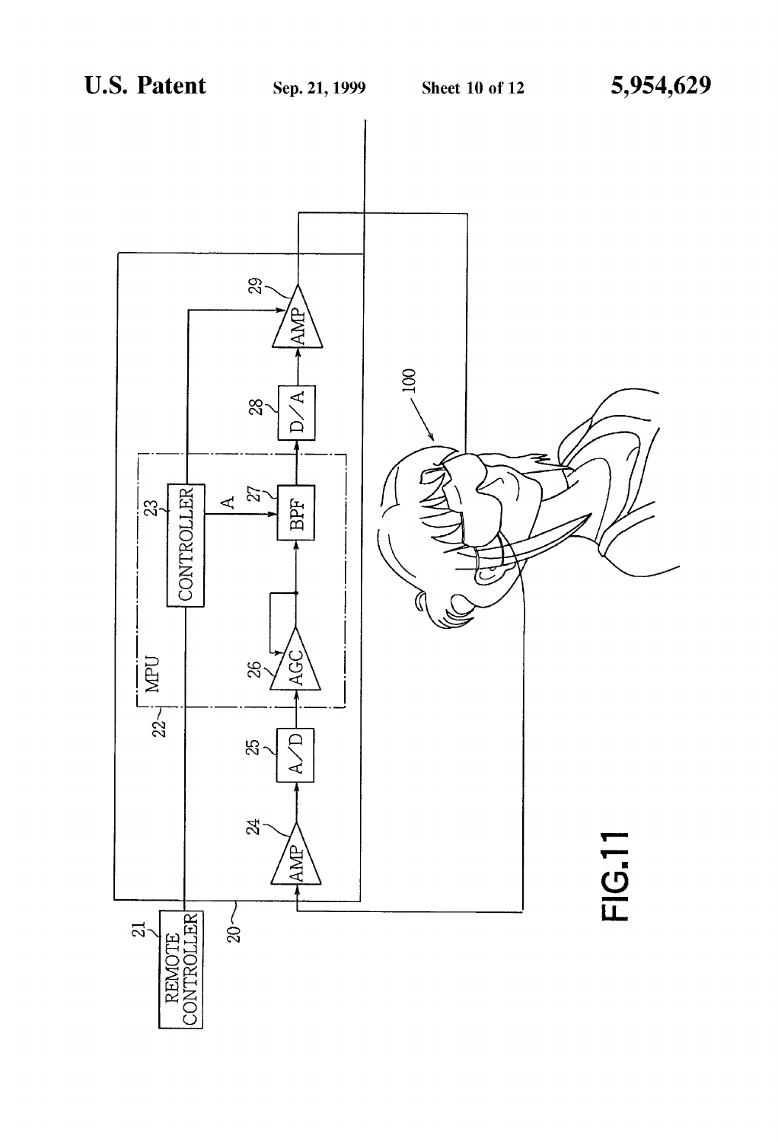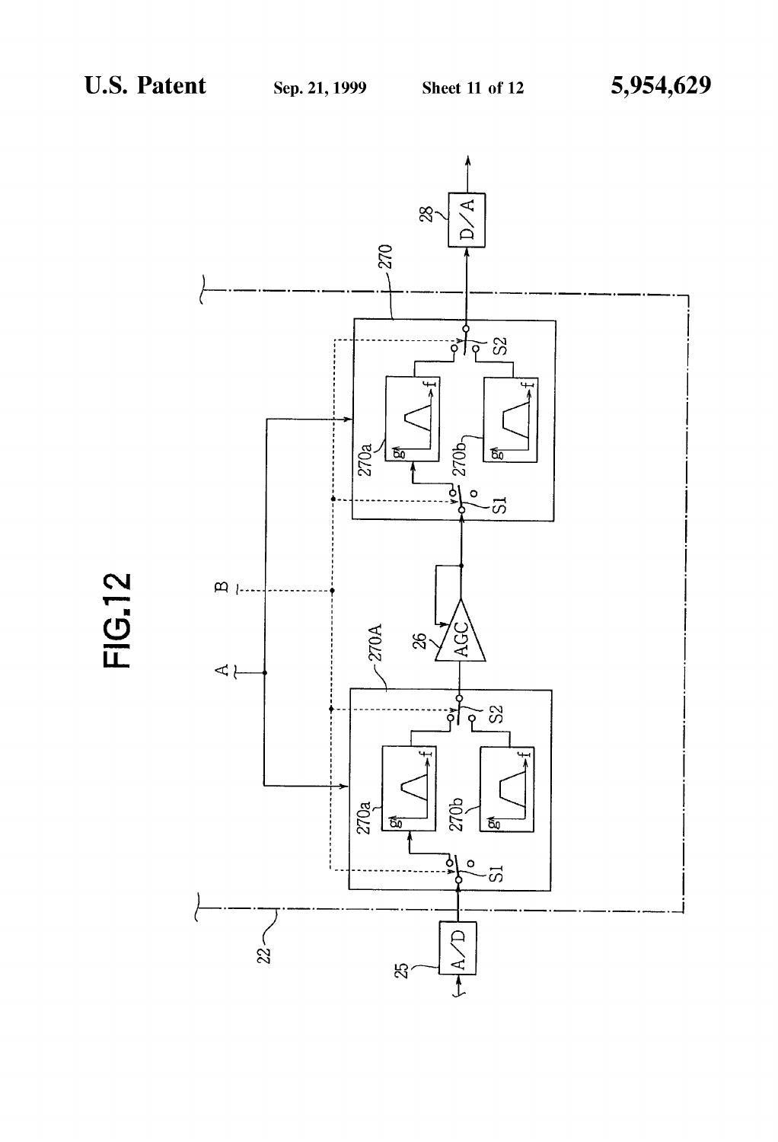

FIG.12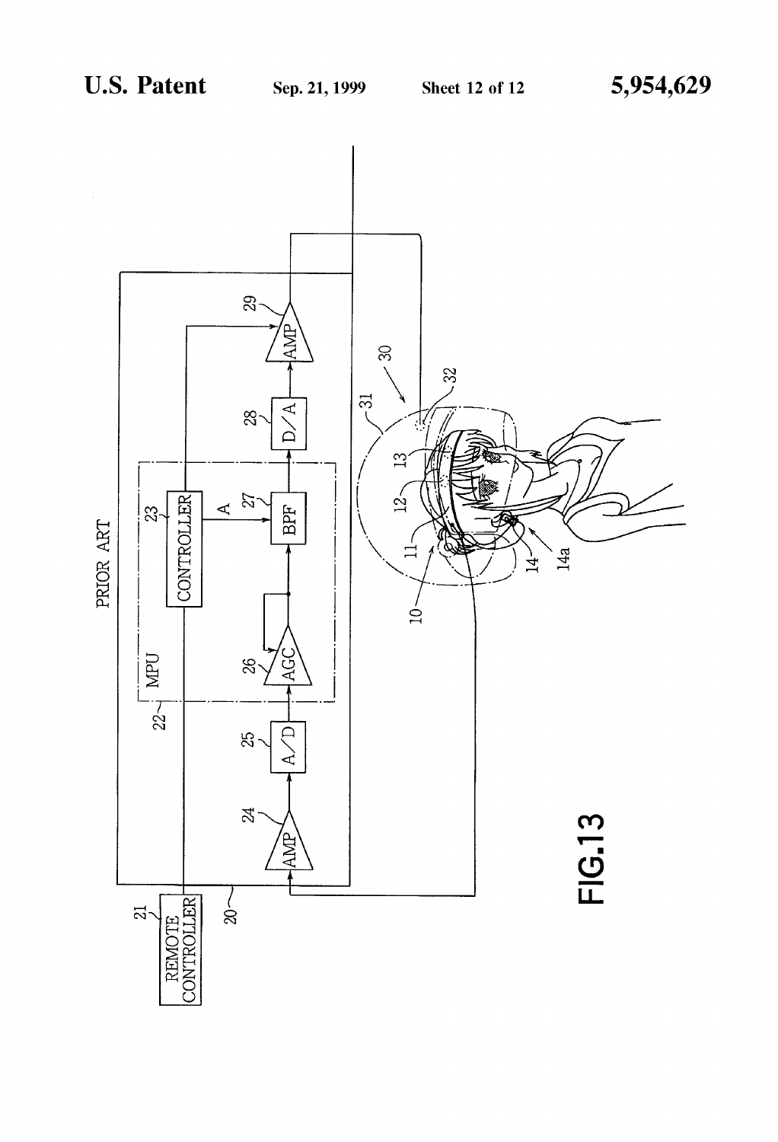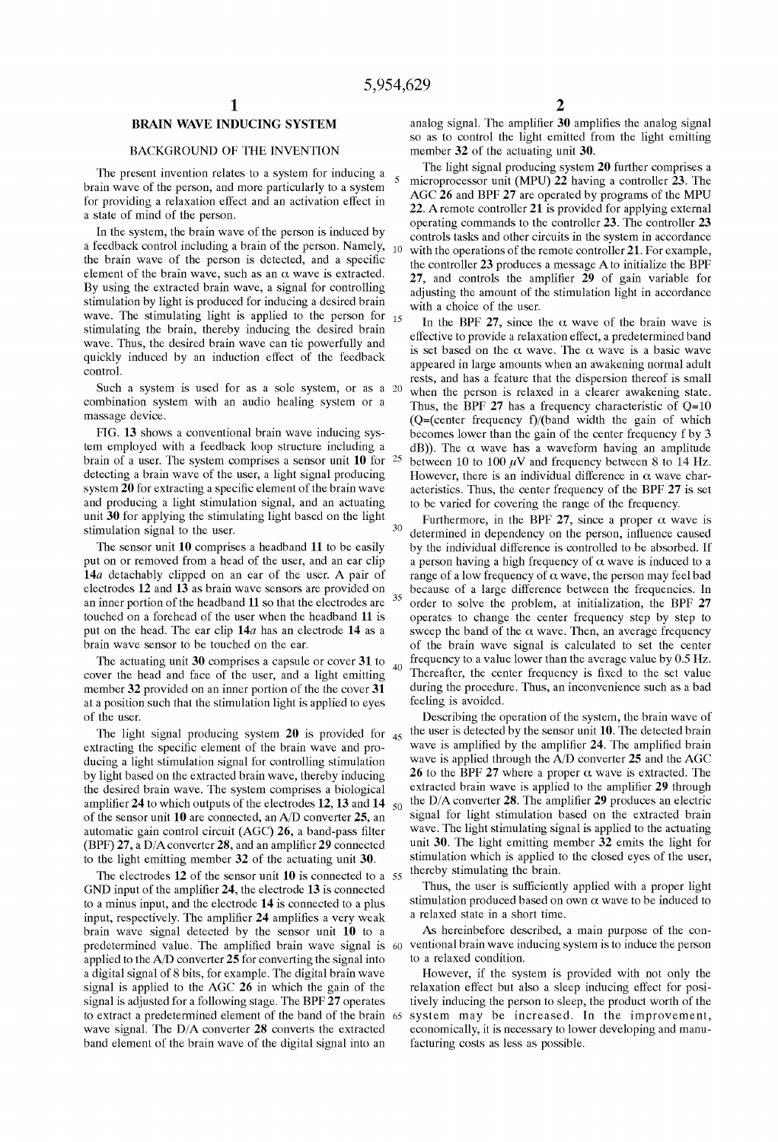5

35

 $30$ 

40

## BRAIN WAVE INDUCING SYSTEM

### BACKGROUND OF THE INVENTION

The present invention relates to a System for inducing a brain wave of the person, and more particularly to a system for providing a relaxation effect and an activation effect in a state of mind of the person.

In the system, the brain wave of the person is induced by a feedback control including a brain of the person. Namely,  $_{10}$ the brain wave of the person is detected, and a specific element of the brain wave, such as an  $\alpha$  wave is extracted. By using the extracted brain wave, a signal for controlling stimulation by light is produced for inducing a desired brain wave. The stimulating light is applied to the person for stimulating the brain, thereby inducing the desired brain wave. Thus, the desired brain wave can tie powerfully and quickly induced by an induction effect of the feedback control. 15

Such a system is used for as a sole system, or as a 20 combination System with an audio healing System or a massage device.

FIG. 13 shows a conventional brain wave inducing sys tem employed with a feedback loop Structure including a brain of a user. The system comprises a sensor unit 10 for 25 detecting a brain wave of the user, a light signal producing system  $20$  for extracting a specific element of the brain wave and producing a light stimulation signal, and an actuating unit 30 for applying the stimulating light based on the light stimulation signal to the user.

The sensor unit 10 comprises a headband 11 to be easily put on or removed from a head of the user, and an ear clip  $14a$  detachably clipped on an ear of the user. A pair of electrodes 12 and 13 as brain wave sensors are provided on an inner portion of the headband 11 so that the electrodes are touched on a forehead of the user when the headband 11 is put on the head. The ear clip  $14a$  has an electrode 14 as a brain wave sensor to be touched on the ear.

The actuating unit 30 comprises a capsule or cover 31 to cover the head and face of the user, and a light emitting member 32 provided on an inner portion of the the cover 31 at a position Such that the Stimulation light is applied to eyes of the user.

The light signal producing system  $20$  is provided for  $_{45}$ extracting the specific element of the brain wave and producing a light stimulation signal for controlling stimulation by light based on the extracted brain wave, thereby inducing the desired brain wave. The system comprises a biological amplifier 24 to which outputs of the electrodes  $12$ ,  $13$  and  $14$   $50$ of the sensor unit 10 are connected, an A/D converter 25, an automatic gain control circuit (AGC) 26, a band-pass filter (BPF) 27, a D/A converter 28, and an amplifier 29 connected to the light emitting member 32 of the actuating unit 30.

The electrodes 12 of the sensor unit 10 is connected to a 55 GND input of the amplifier  $24$ , the electrode 13 is connected to a plus input, and the electrode 14 is connected to a plus input, respectively. The amplifier 24 amplifies a very weak brain wave signal detected by the sensor unit 10 to a predetermined value. The amplified brain wave signal is 60 applied to the  $A/D$  converter  $25$  for converting the signal into a digital signal of 8 bits, for example. The digital brain wave signal is applied to the AGC 26 in which the gain of the signal is adjusted for a following stage. The BPF 27 operates to extract a predetermined element of the band of the brain 65 wave signal. The D/A converter 28 converts the extracted band element of the brain wave of the digital signal into an

2

analog signal. The amplifier 30 amplifies the analog signal so as to control the light emitted from the light emitting member 32 of the actuating unit 30.

The light signal producing system 20 further comprises a microprocessor unit (MPU) 22 having a controller 23. The AGC 26 and BPF 27 are operated by programs of the MPU 22. A remote controller 21 is provided for applying external operating commands to the controller 23. The controller 23 controls tasks and other circuits in the system in accordance with the operations of the remote controller 21. For example, the controller 23 produces a message A to initialize the BPF 27, and controls the amplifier 29 of gain variable for adjusting the amount of the Stimulation light in accordance with a choice of the user.

In the BPF 27, since the  $\alpha$  wave of the brain wave is effective to provide a relaxation effect, a predetermined band is set based on the  $\alpha$  wave. The  $\alpha$  wave is a basic wave appeared in large amounts when an awakening normal adult rests, and has a feature that the dispersion thereof is Small when the person is relaxed in a clearer awakening state. Thus, the BPF 27 has a frequency characteristic of  $Q=10$ (Q=(center frequency f)/(band width the gain of which becomes lower than the gain of the center frequency f by 3 dB)). The  $\alpha$  wave has a waveform having an amplitude between 10 to 100  $\mu$ V and frequency between 8 to 14 Hz. However, there is an individual difference in  $\alpha$  wave characteristics. Thus, the center frequency of the BPF 27 is set to be varied for covering the range of the frequency.

Furthermore, in the BPF 27, since a proper  $\alpha$  wave is determined in dependency on the person, influence caused by the individual difference is controlled to be absorbed. If a person having a high frequency of  $\alpha$  wave is induced to a range of a low frequency of  $\alpha$  wave, the person may feel bad because of a large difference between the frequencies. In order to solve the problem, at initialization, the BPF 27 operates to change the center frequency Step by Step to sweep the band of the  $\alpha$  wave. Then, an average frequency of the brain wave signal is calculated to Set the center frequency to a value lower than the average value by 0.5 Hz. Thereafter, the center frequency is fixed to the set value during the procedure. Thus, an inconvenience Such as a bad feeling is avoided.

Describing the operation of the System, the brain wave of the user is detected by the sensor unit 10. The detected brain wave is amplified by the amplifier 24. The amplified brain wave is applied through the A/D converter 25 and the AGC 26 to the BPF 27 where a proper  $\alpha$  wave is extracted. The extracted brain wave is applied to the amplifier 29 through the D/A converter 28. The amplifier 29 produces an electric signal for light stimulation based on the extracted brain wave. The light stimulating signal is applied to the actuating unit 30. The light emitting member 32 emits the light for stimulation which is applied to the closed eyes of the user, thereby stimulating the brain.

Thus, the user is sufficiently applied with a proper light stimulation produced based on own  $\alpha$  wave to be induced to a relaxed state in a short time.

AS hereinbefore described, a main purpose of the con ventional brain wave inducing system is to induce the person to a relaxed condition.

However, if the system is provided with not only the relaxation effect but also a sleep inducing effect for positively inducing the person to sleep, the product worth of the system may be increased. In the improvement, economically, it is necessary to lower developing and manufacturing costs as less as possible.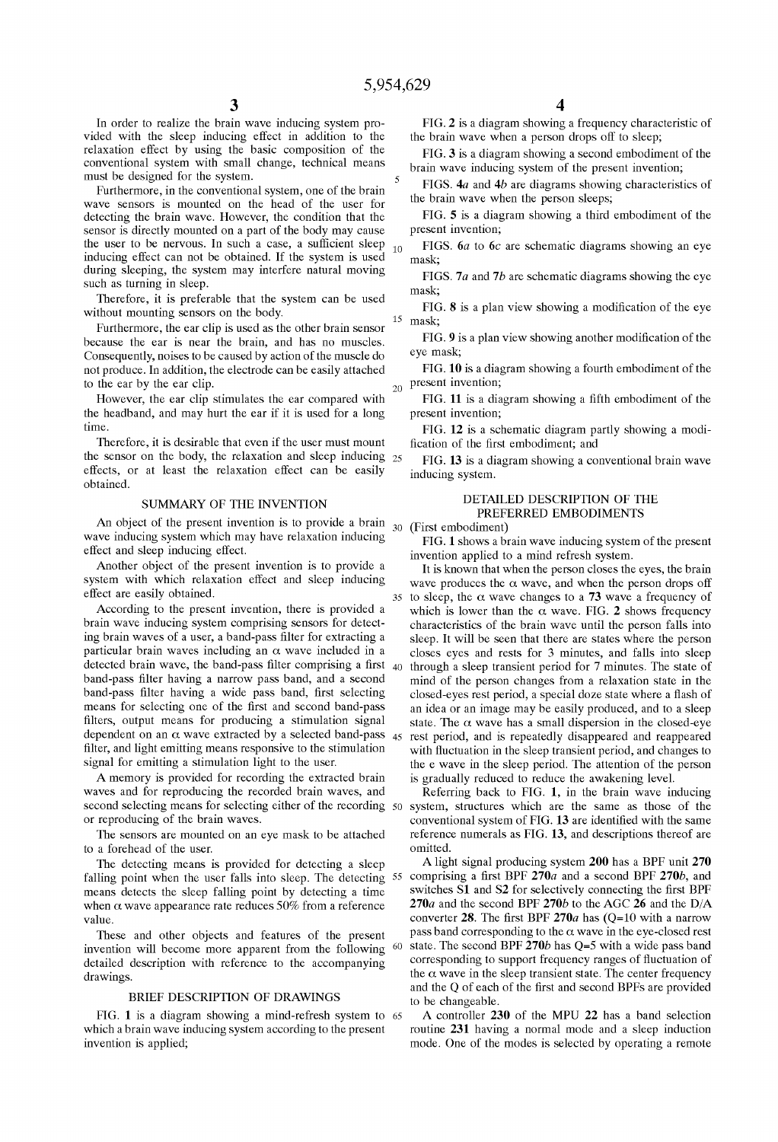1O

In order to realize the brain wave inducing system provided with the sleep inducing effect in addition to the relaxation effect by using the basic composition of the conventional System with Small change, technical means must be designed for the system.<br>Furthermore, in the conventional system, one of the brain

wave sensors is mounted on the head of the user for detecting the brain wave. However, the condition that the sensor is directly mounted on a part of the body may cause<br>the user to be nervous. In such a case, a sufficient sleep inducing effect can not be obtained. If the system is used during Sleeping, the System may interfere natural moving such as turning in sleep.

Therefore, it is preferable that the system can be used without mounting sensors on the body.

Furthermore, the ear clip is used as the other brain sensor because the ear is near the brain, and has no muscles. Consequently, noises to be caused by action of the muscle do not produce. In addition, the electrode can be easily attached to the ear by the ear clip.

However, the ear clip stimulates the ear compared with the headband, and may hurt the ear if it is used for a long time.

Therefore, it is desirable that even if the user must mount the sensor on the body, the relaxation and sleep inducing  $25$ effects, or at least the relaxation effect can be easily obtained.

### SUMMARY OF THE INVENTION

An object of the present invention is to provide a brain 30 (First embodiment)<br>We inducing system which may be relaxation inducing wave inducing system which may have relaxation inducing effect and sleep inducing effect.

Another object of the present invention is to provide a system with which relaxation effect and sleep inducing effect are easily obtained.

According to the present invention, there is provided a brain wave inducing system comprising sensors for detecting brain waves of a user, a band-pass filter for extracting a particular brain waves including an  $\alpha$  wave included in a detected brain wave, the band-pass filter comprising a first band-pass filter having a narrow pass band, and a second band-pass filter having a wide pass band, first selecting means for selecting one of the first and second band-pass filters, output means for producing a stimulation signal signal for emitting a stimulation light to the user.

A memory is provided for recording the extracted brain waves and for reproducing the recorded brain waves, and or reproducing of the brain waves.

The Sensors are mounted on an eye mask to be attached to a forehead of the user.

The detecting means is provided for detecting a sleep falling point when the user falls into Sleep. The detecting 55 means detects the Sleep falling point by detecting a time when  $\alpha$  wave appearance rate reduces 50% from a reference value.

These and other objects and features of the present invention will become more apparent from the following detailed description with reference to the accompanying drawings. 60

### BRIEF DESCRIPTION OF DRAWINGS

FIG. 1 is a diagram showing a mind-refresh System to 65 which a brain wave inducing system according to the present invention is applied;

FIG. 2 is a diagram showing a frequency characteristic of the brain wave when a person drops off to sleep;

FIG. 3 is a diagram showing a second embodiment of the brain wave inducing System of the present invention;

FIGS. 4a and 4b are diagrams showing characteristics of the brain wave when the person sleeps;

FIG. 5 is a diagram showing a third embodiment of the present invention;

FIGS. 6*a* to 6*c* are schematic diagrams showing an eye mask:

FIGS. 7a and 7b are schematic diagrams showing the eye mask,

15 mask, FIG. 8 is a plan view showing a modification of the eye

FIG. 9 is a plan view showing another modification of the eye mask,

FIG. 10 is a diagram showing a fourth embodiment of the  $_{20}$  present invention;

FIG. 11 is a diagram showing a fifth embodiment of the present invention;

FIG. 12 is a schematic diagram partly showing a modification of the first embodiment; and

FIG. 13 is a diagram showing a conventional brain wave inducing System.

### DETAILED DESCRIPTION OF THE PREFERRED EMBODIMENTS

FIG. 1 shows a brain wave inducing system of the present invention applied to a mind refresh System.

dependent on an  $\alpha$  wave extracted by a selected band-pass  $\alpha_5$  rest period, and is repeatedly disappeared and reappeared<br>filter, and light emitting means responsive to the stimulation with fluctuation in the sleep tra 35 to sleep, the  $\alpha$  wave changes to a 75 wave a frequency of 40 closes eyes and rests for 3 minutes, and falls into Sleep through a Sleep transient period for 7 minutes. The State of It is known that when the person closes the eyes, the brain wave produces the  $\alpha$  wave, and when the person drops off which is lower than the  $\alpha$  wave. FIG. 2 shows frequency characteristics of the brain wave until the person falls into sleep. It will be seen that there are states where the person closes eyes and rests for 3 minutes, and falls into sleep mind of the person changes from a relaxation State in the closed-eyes rest period, a special doze state where a flash of an idea or an image may be easily produced, and to a sleep state. The  $\alpha$  wave has a small dispersion in the closed-eye with fluctuation in the sleep transient period, and changes to the e wave in the sleep period. The attention of the person is gradually reduced to reduce the awakening level.

Second Selecting means for Selecting either of the recording 50 System, Structures which are the Same as those of the Referring back to FIG. 1, in the brain wave inducing conventional system of FIG. 13 are identified with the same reference numerals as FIG. 13, and descriptions thereof are omitted.

> A light signal producing system 200 has a BPF unit 270 comprising a first BPF  $270a$  and a second BPF  $270b$ , and switches S1 and S2 for selectively connecting the first BPF  $270a$  and the second BPF 270b to the AGC 26 and the D/A converter 28. The first BPF 270a has  $(Q=10$  with a narrow pass band corresponding to the  $\alpha$  wave in the eye-closed rest state. The second BPF 270b has Q=5 with a wide pass band corresponding to Support frequency ranges of fluctuation of the  $\alpha$  wave in the sleep transient state. The center frequency and the Q of each of the first and second BPFs are provided to be changeable.

> A controller 230 of the MPU 22 has a band selection routine 231 having a normal mode and a sleep induction mode. One of the modes is selected by operating a remote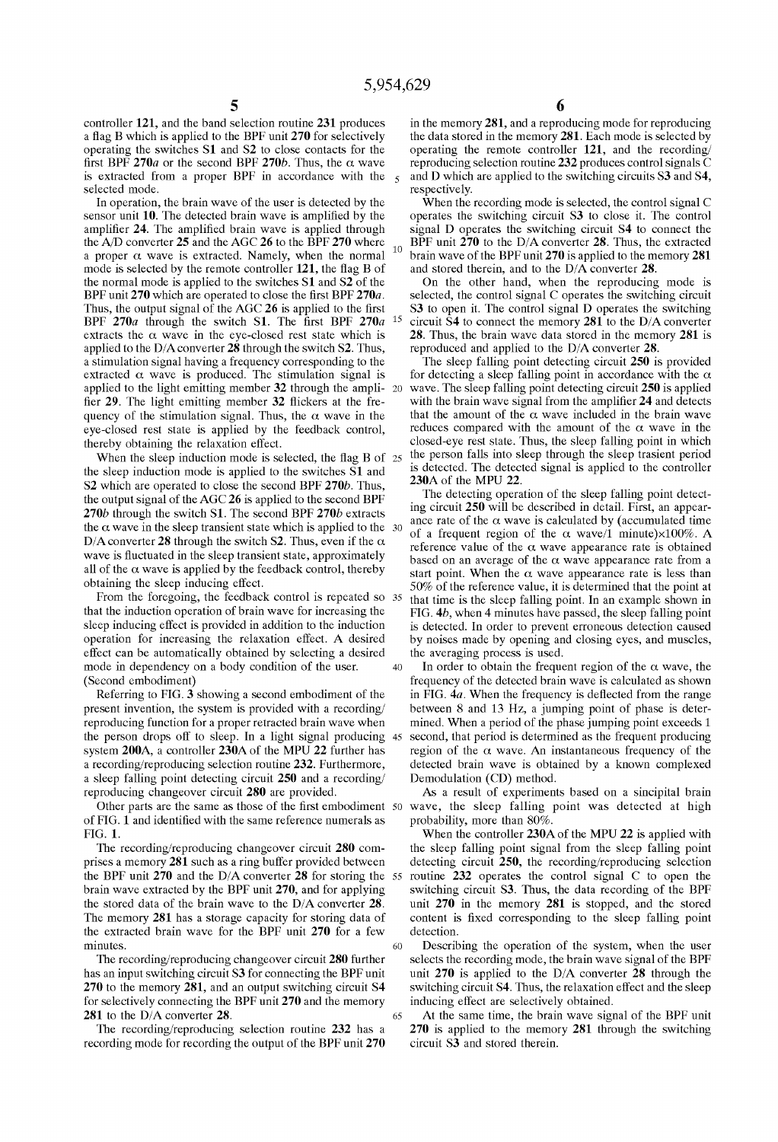$\leq$ 

controller 121, and the band selection routine 231 produces a flag B which is applied to the BPF unit 270 for selectively operating the Switches S1 and S2 to close contacts for the first BPF 270a or the second BPF 270b. Thus, the  $\alpha$  wave is extracted from a proper BPF in accordance with the selected mode.

In operation, the brain wave of the user is detected by the sensor unit 10. The detected brain wave is amplified by the amplifier 24. The amplified brain wave is applied through the A/D converter 25 and the AGC 26 to the BPF 270 where  $_{10}$ a proper  $\alpha$  wave is extracted. Namely, when the normal mode is selected by the remote controller 121, the flag B of the normal mode is applied to the Switches S1 and S2 of the BPF unit 270 which are operated to close the first BPF 270a. Thus, the output signal of the AGC 26 is applied to the first BPF 270a through the switch S1. The first BPF 270a extracts the  $\alpha$  wave in the eye-closed rest state which is applied to the D/A converter  $2\dot{8}$  through the switch S2. Thus, a stimulation signal having a frequency corresponding to the extracted  $\alpha$  wave is produced. The stimulation signal is applied to the light emitting member 32 through the ampli- 20 fier 29. The light emitting member 32 flickers at the fre quency of the stimulation signal. Thus, the  $\alpha$  wave in the eye-closed rest state is applied by the feedback control, thereby obtaining the relaxation effect. 15

When the sleep induction mode is selected, the flag B of 25 the Sleep induction mode is applied to the Switches S1 and S2 which are operated to close the second BPF 270*b*. Thus, the output signal of the AGC 26 is applied to the second BPF 270b through the switch S1. The second BPF 270b extracts the  $\alpha$  wave in the sleep transient state which is applied to the 30 D/A converter 28 through the switch S2. Thus, even if the  $\alpha$ . wave is fluctuated in the sleep transient state, approximately all of the  $\alpha$  wave is applied by the feedback control, thereby obtaining the sleep inducing effect.

From the foregoing, the feedback control is repeated So 35 that the induction operation of brain wave for increasing the Sleep inducing effect is provided in addition to the induction operation for increasing the relaxation effect. A desired effect can be automatically obtained by Selecting a desired mode in dependency on a body condition of the user.<br>(Second embodiment)

Referring to FIG. 3 showing a second embodiment of the present invention, the System is provided with a recording/ reproducing function for a proper retracted brain wave when the person drops off to sleep. In a light signal producing 45 system 200A, a controller 230A of the MPU 22 further has a recording/reproducing selection routine 232. Furthermore, a sleep falling point detecting circuit 250 and a recording/ reproducing changeover circuit 280 are provided.

Other parts are the same as those of the first embodiment 50 of FIG. 1 and identified with the same reference numerals as FIG. 1.

The recording/reproducing changeover circuit 280 com prises a memory 281 Such as a ring buffer provided between the BPF unit  $270$  and the D/A converter 28 for storing the 55 brain wave extracted by the BPF unit 270, and for applying the stored data of the brain wave to the D/A converter 28. The memory 281 has a storage capacity for storing data of the extracted brain wave for the BPF unit 270 for a few minutes.

The recording/reproducing changeover circuit 280 further has an input switching circuit S3 for connecting the BPF unit 270 to the memory 281, and an output switching circuit S4 for selectively connecting the BPF unit 270 and the memory 281 to the D/A converter 28.

The recording/reproducing selection routine 232 has a recording mode for recording the output of the BPF unit 270 in the memory  $281$ , and a reproducing mode for reproducing the data stored in the memory  $281$ . Each mode is selected by operating the remote controller 121, and the recording/ reproducing selection routine  $232$  produces control signals C and D which are applied to the Switching circuits S3 and S4, respectively.

When the recording mode is selected, the control signal C operates the Switching circuit S3 to close it. The control signal D operates the switching circuit S4 to connect the BPF unit 270 to the D/A converter 28. Thus, the extracted brain wave of the BPF unit 270 is applied to the memory 281 and stored therein, and to the D/A converter 28.

On the other hand, when the reproducing mode is selected, the control signal C operates the switching circuit S3 to open it. The control signal D operates the switching circuit S4 to connect the memory 281 to the D/A converter 28. Thus, the brain wave data stored in the memory 281 is reproduced and applied to the D/A converter 28.

The sleep falling point detecting circuit 250 is provided for detecting a sleep falling point in accordance with the  $\alpha$  wave. The sleep falling point detecting circuit 250 is applied with the brain wave signal from the amplifier  $24$  and detects that the amount of the  $\alpha$  wave included in the brain wave reduces compared with the amount of the  $\alpha$  wave in the closed-eye rest State. Thus, the Sleep falling point in which the person falls into Sleep through the Sleep trasient period is detected. The detected signal is applied to the controller 230A of the MPU 22.

The detecting operation of the sleep falling point detect ing circuit 250 will be described in detail. First, an appear ance rate of the  $\alpha$  wave is calculated by (accumulated time of a frequent region of the  $\alpha$  wave/1 minute) $\times$ 100%. A reference value of the  $\alpha$  wave appearance rate is obtained based on an average of the  $\alpha$  wave appearance rate from a start point. When the  $\alpha$  wave appearance rate is less than 50% of the reference value, it is determined that the point at that time is the Sleep falling point. In an example shown in FIG. 4b, when 4 minutes have passed, the Sleep falling point is detected. In order to prevent erroneous detection caused by noises made by opening and closing eyes, and muscles, the averaging process is used.

40 In order to obtain the frequent region of the  $\alpha$  wave, the frequency of the detected brain wave is calculated as shown in FIG. 4a. When the frequency is deflected from the range between 8 and 13 HZ, a jumping point of phase is deter mined. When a period of the phase jumping point exceeds 1 second, that period is determined as the frequent producing region of the  $\alpha$  wave. An instantaneous frequency of the detected brain wave is obtained by a known complexed Demodulation (CD) method.

AS a result of experiments based on a sincipital brain wave, the Sleep falling point was detected at high probability, more than 80%.

When the controller 230A of the MPU 22 is applied with the Sleep falling point Signal from the Sleep falling point detecting circuit 250, the recording/reproducing selection routine 232 operates the control Signal C to open the switching circuit S3. Thus, the data recording of the BPF unit 270 in the memory 281 is stopped, and the stored content is fixed corresponding to the sleep falling point detection.

Describing the operation of the system, when the user selects the recording mode, the brain wave signal of the BPF unit 270 is applied to the  $D/A$  converter 28 through the switching circuit S4. Thus, the relaxation effect and the sleep inducing effect are selectively obtained.

60

65

At the same time, the brain wave signal of the BPF unit 270 is applied to the memory 281 through the Switching circuit S3 and stored therein.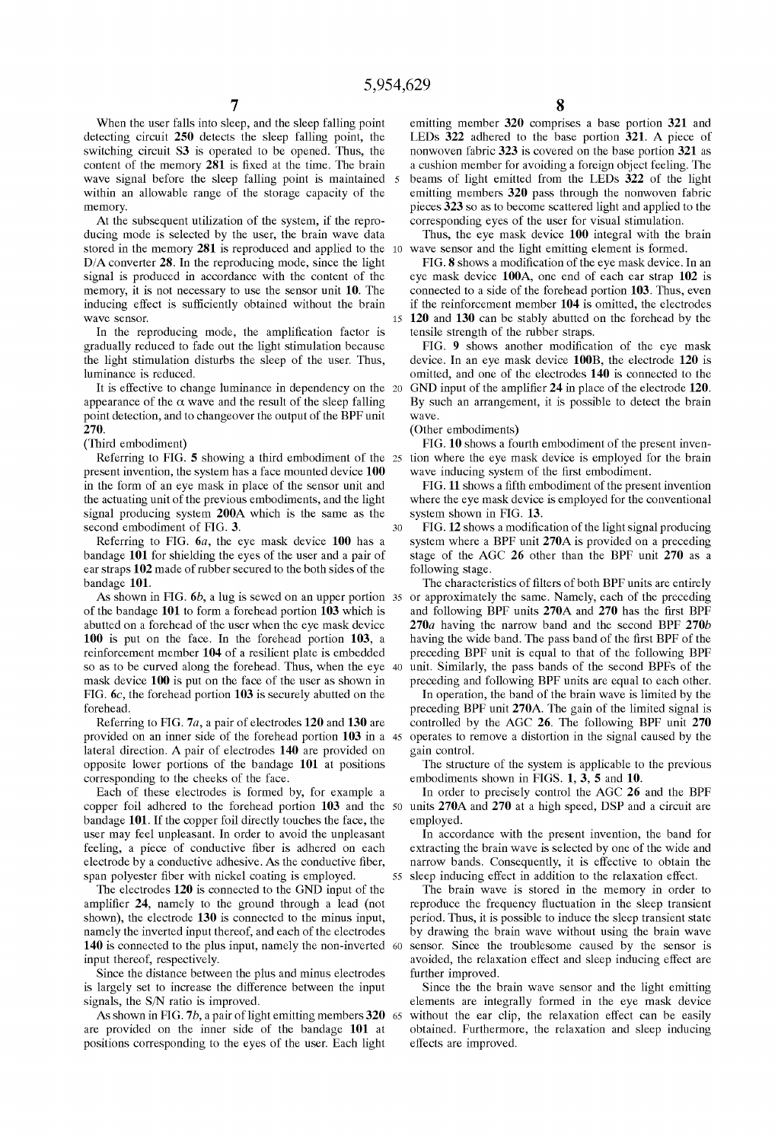$15\,$ 

30

When the user falls into sleep, and the sleep falling point detecting circuit 250 detects the sleep falling point, the switching circuit S3 is operated to be opened. Thus, the content of the memory  $281$  is fixed at the time. The brain wave signal before the sleep falling point is maintained within an allowable range of the storage capacity of the memory.

At the subsequent utilization of the system, if the reproducing mode is selected by the user, the brain wave data stored in the memory 281 is reproduced and applied to the  $10$  wave sensor and the light emitting element is formed.  $D/A$  converter  $28$ . In the reproducing mode, since the light signal is produced in accordance with the content of the memory, it is not necessary to use the sensor unit 10. The inducing effect is sufficiently obtained without the brain wave sensor.

In the reproducing mode, the amplification factor is gradually reduced to fade out the light stimulation because the light stimulation disturbs the sleep of the user. Thus, luminance is reduced.

It is effective to change luminance in dependency on the 20 appearance of the  $\alpha$  wave and the result of the sleep falling point detection, and to change over the output of the BPF unit 270.

### (Third embodiment)

Referring to FIG. 5 showing a third embodiment of the 25 present invention, the system has a face mounted device 100 in the form of an eye mask in place of the sensor unit and the actuating unit of the previous embodiments, and the light signal producing system 200A which is the same as the second embodiment of FIG. 3.

Referring to FIG. 6a, the eve mask device 100 has a bandage 101 for shielding the eyes of the user and a pair of ear straps 102 made of rubber secured to the both sides of the bandage 101.

of the bandage 101 to form a forehead portion 103 which is abutted on a forehead of the user when the eve mask device 100 is put on the face. In the forehead portion 103, a reinforcement member 104 of a resilient plate is embedded so as to be curved along the forehead. Thus, when the eye  $40$ mask device 100 is put on the face of the user as shown in FIG. 6c, the forehead portion 103 is securely abutted on the forehead

Referring to FIG. 7a, a pair of electrodes 120 and 130 are provided on an inner side of the forehead portion 103 in a 45 lateral direction. A pair of electrodes 140 are provided on opposite lower portions of the bandage 101 at positions corresponding to the cheeks of the face.

Each of these electrodes is formed by, for example a copper foil adhered to the forehead portion 103 and the 50 bandage 101. If the copper foil directly touches the face, the user may feel unpleasant. In order to avoid the unpleasant feeling, a piece of conductive fiber is adhered on each electrode by a conductive adhesive. As the conductive fiber, span polyester fiber with nickel coating is employed.

The electrodes 120 is connected to the GND input of the amplifier 24, namely to the ground through a lead (not shown), the electrode 130 is connected to the minus input, namely the inverted input thereof, and each of the electrodes 140 is connected to the plus input, namely the non-inverted 60 input thereof, respectively.

Since the distance between the plus and minus electrodes is largely set to increase the difference between the input signals, the S/N ratio is improved.

As shown in FIG. 7b, a pair of light emitting members  $320$  65 are provided on the inner side of the bandage 101 at positions corresponding to the eyes of the user. Each light

emitting member 320 comprises a base portion 321 and LEDs 322 adhered to the base portion 321. A piece of nonwoven fabric 323 is covered on the base portion 321 as a cushion member for avoiding a foreign object feeling. The beams of light emitted from the LEDs 322 of the light emitting members 320 pass through the nonwoven fabric pieces  $\overline{3}23$  so as to become scattered light and applied to the corresponding eyes of the user for visual stimulation.

Thus, the eye mask device 100 integral with the brain

FIG. 8 shows a modification of the eye mask device. In an eye mask device 100A, one end of each ear strap 102 is connected to a side of the forehead portion 103. Thus, even if the reinforcement member 104 is omitted, the electrodes 120 and 130 can be stably abutted on the forehead by the tensile strength of the rubber straps.

FIG. 9 shows another modification of the eye mask device. In an eye mask device 100B, the electrode 120 is omitted, and one of the electrodes 140 is connected to the GND input of the amplifier 24 in place of the electrode 120. By such an arrangement, it is possible to detect the brain wave.

(Other embodiments)

FIG. 10 shows a fourth embodiment of the present invention where the eve mask device is employed for the brain wave inducing system of the first embodiment.

FIG. 11 shows a fifth embodiment of the present invention where the eve mask device is employed for the conventional system shown in FIG. 13.

FIG. 12 shows a modification of the light signal producing system where a BPF unit 270A is provided on a preceding stage of the AGC 26 other than the BPF unit 270 as a following stage.

The characteristics of filters of both BPF units are entirely As shown in FIG. 6b, a lug is sewed on an upper portion 35 or approximately the same. Namely, each of the preceding and following BPF units 270A and 270 has the first BPF  $270a$  having the narrow band and the second BPF  $270b$ having the wide band. The pass band of the first BPF of the preceding BPF unit is equal to that of the following BPF unit. Similarly, the pass bands of the second BPFs of the preceding and following BPF units are equal to each other.

In operation, the band of the brain wave is limited by the preceding BPF unit 270A. The gain of the limited signal is controlled by the AGC 26. The following BPF unit 270 operates to remove a distortion in the signal caused by the gain control.

The structure of the system is applicable to the previous embodiments shown in FIGS. 1, 3, 5 and 10.

In order to precisely control the AGC 26 and the BPF units 270A and 270 at a high speed, DSP and a circuit are employed.

In accordance with the present invention, the band for extracting the brain wave is selected by one of the wide and narrow bands. Consequently, it is effective to obtain the 55 sleep inducing effect in addition to the relaxation effect.

The brain wave is stored in the memory in order to reproduce the frequency fluctuation in the sleep transient period. Thus, it is possible to induce the sleep transient state by drawing the brain wave without using the brain wave sensor. Since the troublesome caused by the sensor is avoided, the relaxation effect and sleep inducing effect are further improved.

Since the the brain wave sensor and the light emitting elements are integrally formed in the eye mask device without the ear clip, the relaxation effect can be easily obtained. Furthermore, the relaxation and sleep inducing effects are improved.